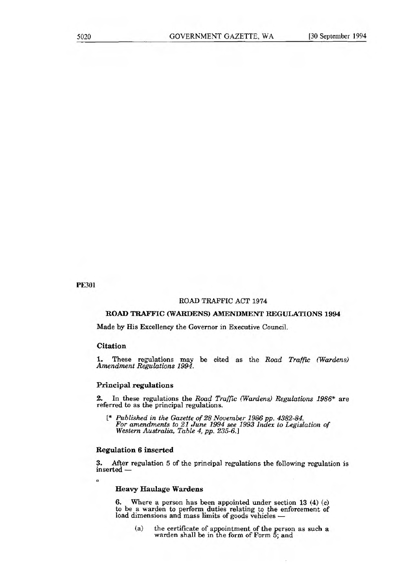PE301

## ROAD TRAFFIC ACT 1974

#### **ROAD TRAFFIC (WARDENS) AMENDMENT REGULATIONS 1994**

Made by His Excellency the Governor in Executive Council.

## **Citation**

 $\alpha$ 

1. These regulations may be cited as the *Road Traffic (Wardens) Amendment Regulations 1994.* 

# **Principal regulations**

2. In these regulations the *Road Traffic (Wardens) Regulations 1986\** are referred to as the principal regulations.

*1\* Published in the Gazette of 28 November 1986 pp. 4382-84. For amendments to 21 June 1994 see 1993 Index to Legislation of Western Australia, Table 4, pp. 235-6J* 

# **Regulation 6 inserted**

3. After regulation 5 of the principal regulations the following regulation is inserted —

## **Heavy Haulage Wardens**

**6.** Where a person has been appointed under section 13 (4) (c) to be a warden to perform duties relating to the enforcement of load dimensions and mass limits of goods vehicles —

(a) the certificate of appointment of the person as such a warden shall be in the form of Form 5; and